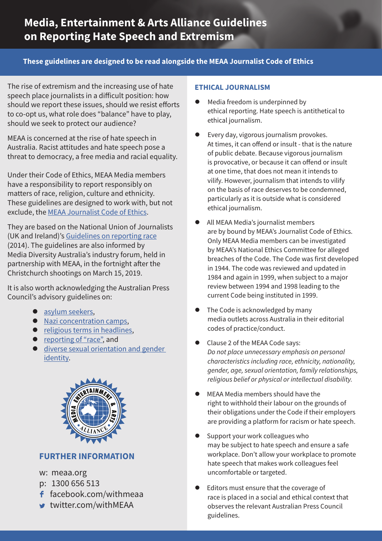## **These guidelines are designed to be read alongside the MEAA Journalist Code of Ethics**

The rise of extremism and the increasing use of hate speech place journalists in a difficult position: how should we report these issues, should we resist efforts to co-opt us, what role does "balance" have to play, should we seek to protect our audience?

MEAA is concerned at the rise of hate speech in Australia. Racist attitudes and hate speech pose a threat to democracy, a free media and racial equality.

Under their Code of Ethics, MEAA Media members have a responsibility to report responsibly on matters of race, religion, culture and ethnicity. These guidelines are designed to work with, but not exclude, the [MEAA Journalist Code of Ethics.](https://www.meaa.org/meaa-media/code-of-ethics/)

They are based on the National Union of Journalists (UK and Ireland)'s [Guidelines on reporting race](https://www.nuj.org.uk/news/updated-nuj-race-reporting-guidelines/) (2014). The guidelines are also informed by Media Diversity Australia's industry forum, held in partnership with MEAA, in the fortnight after the Christchurch shootings on March 15, 2019.

It is also worth acknowledging the Australian Press Council's advisory guidelines on:

- [asylum seekers,](https://www.presscouncil.org.au/document-search/asylum-seekers/?LocatorGroupID=662&LocatorFormID=677&FromSearch=1)
- **[Nazi concentration camps](https://www.presscouncil.org.au/document-search/guideline-nazi-concentration-camps/?LocatorGroupID=662&LocatorFormID=677&FromSearch=1),**
- **•** [religious terms in headlines,](https://www.presscouncil.org.au/document-search/guideline-religious-terms/?LocatorGroupID=662&LocatorFormID=677&FromSearch=1)
- [reporting of "race",](https://www.presscouncil.org.au/document-search/guideline-reporting-of-race/?LocatorGroupID=662&LocatorFormID=677&FromSearch=1) and
- **•** diverse sexual orientation and gender [identity.](https://www.presscouncil.org.au/guidelines-for-reporting-on-people-with-diverse-sexual-orientation-gender-identity/)



# **FURTHER INFORMATION**

- w: [meaa.org](http://meaa.org)
- p: 1300 656 513
- f [facebook.com/withmeaa](http://facebook.com/withmeaa)
- [twitter.com/withMEAA](http://twitter.com/withMEAA)

## **ETHICAL JOURNALISM**

- Media freedom is underpinned by ethical reporting. Hate speech is antithetical to ethical journalism.
- Every day, vigorous journalism provokes. At times, it can offend or insult - that is the nature of public debate. Because vigorous journalism is provocative, or because it can offend or insult at one time, that does not mean it intends to vilify. However, journalism that intends to vilify on the basis of race deserves to be condemned, particularly as it is outside what is considered ethical journalism.
- All MEAA Media's journalist members are by bound by MEAA's Journalist Code of Ethics. Only MEAA Media members can be investigated by MEAA's National Ethics Committee for alleged breaches of the Code. The Code was first developed in 1944. The code was reviewed and updated in 1984 and again in 1999, when subject to a major review between 1994 and 1998 leading to the current Code being instituted in 1999.
- The Code is acknowledged by many media outlets across Australia in their editorial codes of practice/conduct.
- l Clause 2 of the MEAA Code says: *Do not place unnecessary emphasis on personal characteristics including race, ethnicity, nationality, gender, age, sexual orientation, family relationships, religious belief or physical or intellectual disability.*
- l MEAA Media members should have the right to withhold their labour on the grounds of their obligations under the Code if their employers are providing a platform for racism or hate speech.
- Support your work colleagues who may be subject to hate speech and ensure a safe workplace. Don't allow your workplace to promote hate speech that makes work colleagues feel uncomfortable or targeted.
- Editors must ensure that the coverage of race is placed in a social and ethical context that observes the relevant Australian Press Council guidelines.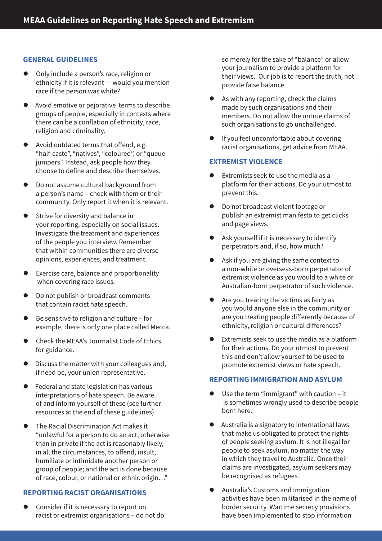### **GENERAL GUIDELINES**

- Only include a person's race, religion or ethnicity if it is relevant — would you mention race if the person was white?
- Avoid emotive or pejorative terms to describe groups of people, especially in contexts where there can be a conflation of ethnicity, race, religion and criminality.
- Avoid outdated terms that offend, e.g. "half-caste", "natives", "coloured", or "queue jumpers". Instead, ask people how they choose to define and describe themselves.
- Do not assume cultural background from a person's name – check with them or their community. Only report it when it is relevant.
- Strive for diversity and balance in your reporting, especially on social issues. Investigate the treatment and experiences of the people you interview. Remember that within communities there are diverse opinions, experiences, and treatment.
- Exercise care, balance and proportionality when covering race issues.
- Do not publish or broadcast comments that contain racist hate speech.
- Be sensitive to religion and culture for example, there is only one place called Mecca.
- l Check the MEAA's Journalist Code of Ethics for guidance.
- l Discuss the matter with your colleagues and, if need be, your union representative.
- Federal and state legislation has various interpretations of hate speech. Be aware of and inform yourself of these (see further resources at the end of these guidelines).
- The Racial Discrimination Act makes it "unlawful for a person to do an act, otherwise than in private if the act is reasonably likely, in all the circumstances, to offend, insult, humiliate or intimidate another person or group of people; and the act is done because of race, colour, or national or ethnic origin…"

#### **REPORTING RACIST ORGANISATIONS**

Consider if it is necessary to report on racist or extremist organisations – do not do so merely for the sake of "balance" or allow your journalism to provide a platform for their views. Our job is to report the truth, not provide false balance.

- As with any reporting, check the claims made by such organisations and their members. Do not allow the untrue claims of such organisations to go unchallenged.
- If you feel uncomfortable about covering racist organisations, get advice from MEAA.

#### **EXTREMIST VIOLENCE**

- Extremists seek to use the media as a platform for their actions. Do your utmost to prevent this.
- Do not broadcast violent footage or publish an extremist manifesto to get clicks and page views.
- Ask yourself if it is necessary to identify perpetrators and, if so, how much?
- Ask if you are giving the same context to a non-white or overseas-born perpetrator of extremist violence as you would to a white or Australian-born perpetrator of such violence.
- Are you treating the victims as fairly as you would anyone else in the community or are you treating people differently because of ethnicity, religion or cultural differences?
- Extremists seek to use the media as a platform for their actions. Do your utmost to prevent this and don't allow yourself to be used to promote extremist views or hate speech.

#### **REPORTING IMMIGRATION AND ASYLUM**

- l Use the term "immigrant" with caution it is sometimes wrongly used to describe people born here.
- Australia is a signatory to international laws that make us obligated to protect the rights of people seeking asylum. It is not illegal for people to seek asylum, no matter the way in which they travel to Australia. Once their claims are investigated, asylum seekers may be recognised as refugees.
- l Australia's Customs and Immigration activities have been militarised in the name of border security. Wartime secrecy provisions have been implemented to stop information